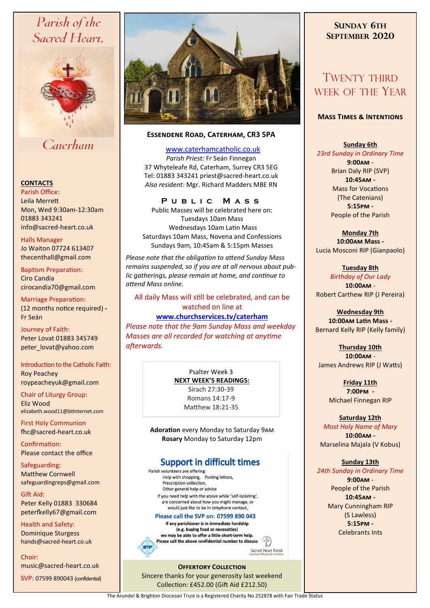# Parish of the Sacred Heart,



## Caterham

#### **CONTACTS**

Parish Office: Leila Merrett Mon, Wed 9:30am-12:30am 01883 343241 info@sacred-heart.co.uk .

Halls Manager Jo Waiton 07724 613407 thecenthall@gmail.com

Baptism Preparation: Ciro Candia cirocandia70@gmail.com

Marriage Preparation: (12 months notice required) **-** Fr Seán

Journey of Faith: Peter Lovat 01883 345749 peter\_lovat@yahoo.com

#### Introduction to the Catholic Faith: Roy Peachey

roypeacheyuk@gmail.com

Chair of Liturgy Group: Eliz Wood elizabeth.wood11@btinternet.com

First Holy Communion fhc@sacred-heart.co.uk

Confirmation: Please contact the office

Safeguarding: Matthew Cornwell safeguardingreps@gmail.com

Gift Aid: Peter Kelly 01883 330684 peterfkelly67@gmail.com

Health and Safety: Dominique Sturgess hands@sacred-heart.co.uk

Choir:

music@sacred-heart.co.uk SVP: 07599 890043 (confidential)



### **Essendene Road, Caterham, CR3 5PA**

[www.caterhamcatholic.co.uk](http://Www.caterhamcatholic.co.uk)

*Parish Priest:* Fr Seán Finnegan 37 Whyteleafe Rd, Caterham, Surrey CR3 5EG Tel: 01883 343241 priest@sacred-heart.co.uk *Also resident:* Mgr. Richard Madders MBE RN

## **P u b l i c M a s s**

Public Masses will be celebrated here on: Tuesdays 10am Mass Wednesdays 10am Latin Mass Saturdays 10am Mass, Novena and Confessions Sundays 9am, 10:45am & 5:15pm Masses

*Please note that the obligation to attend Sunday Mass remains suspended, so if you are at all nervous about public gatherings, please remain at home, and continue to attend Mass online.*

### All daily Mass will still be celebrated, and can be watched on line at

**[www.churchservices.tv/caterham](http://www.churchservices.tv/caterham)** 

*Please note that the 9am Sunday Mass and weekday Masses are all recorded for watching at anytime afterwards.*

#### Psalter Week 3 **NEXT WEEK'S READINGS:**

Sirach 27:30-39 Romans 14:17-9 Matthew 18:21-35

**Adoration** every Monday to Saturday 9am **Rosary** Monday to Saturday 12pm

## **Support in difficult times**

Parish volunteers are offering: Help with shopping, Posting letters, Prescription collection, Other general help or advice If you need help with the above while 'self-isolating' are concerned about how you might manage, or would just like to be in telephone contact.

#### Please call the SVP on: 07599 890 043

If any parishioner is in immediate hardship (e.g. buying food or necessities) we may be able to offer a little short-term help. Please call the above confidential number to discuss

Sacred Heart Parish

#### **OFFERTORY COLLECTION** Sincere thanks for your generosity last weekend Collection: £452.00 (Gift Aid £212.50)

## **SUNDAY 6TH SEPTEMBER 2020**

## TWENTY THIRD WEEK OF THE YEAR

#### **Mass Times & Intentions**

**Sunday 6th**  *23rd Sunday in Ordinary Time* **9:00am** -

Brian Daly RIP (SVP) **10:45am -** Mass for Vocations (The Catenians) **5:15pm -** People of the Parish

**Monday 7th 10:00am Mass -** Lucia Mosconi RIP (Gianpaolo)

#### **Tuesday 8th**

*Birthday of Our Lady* **10:00am** - Robert Carthew RIP (J Pereira)

## **Wednesday 9th**

**10:00am Latin Mass -** Bernard Kelly RIP (Kelly family)

## **Thursday 10th**

**10:00am** - James Andrews RIP (J Watts)

> **Friday 11th 7:00pm -** Michael Finnegan RIP

## **Saturday 12th**

*Most Holy Name of Mary* **10:00am -**  Marselina Majala (V Kobus)

## **Sunday 13th**

*24th Sunday in Ordinary Time*

**9:00am** - People of the Parish **10:45am -** Mary Cunningham RIP (S Lawless) **5:15pm -** Celebrants Ints

The Arundel & Brighton Diocesan Trust is a Registered Charity No 252878 with Fair Trade Status